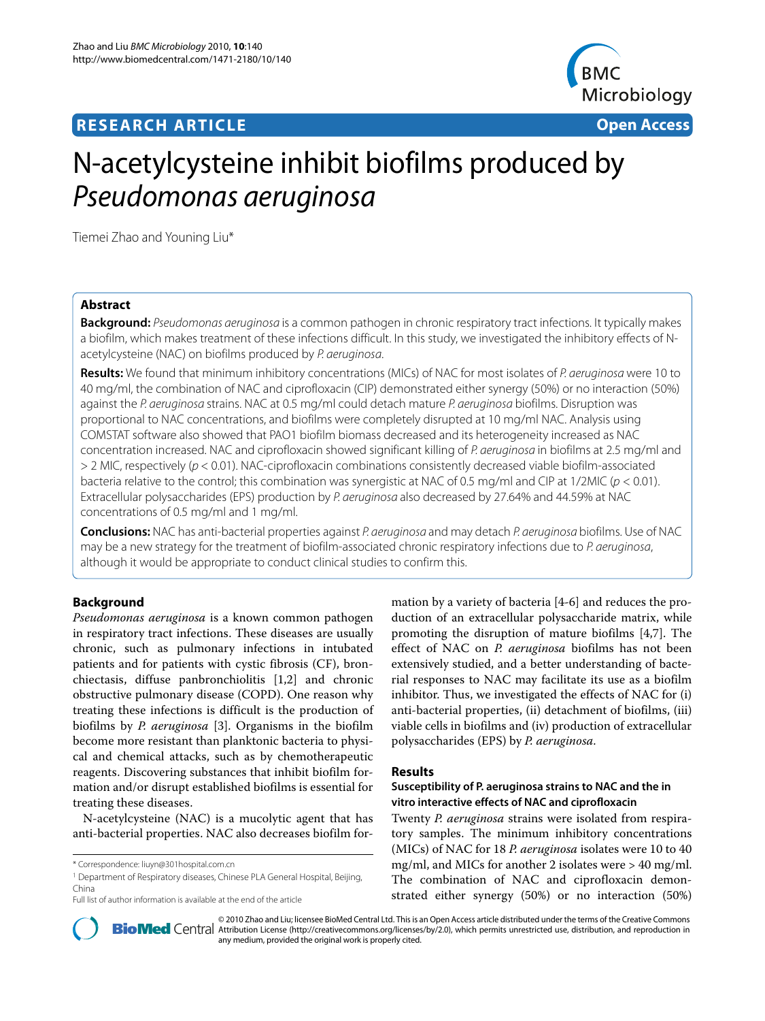## **RESEARCH ARTICLE Open Access**



# N-acetylcysteine inhibit biofilms produced by Pseudomonas aeruginosa

Tiemei Zhao and Youning Liu\*

## **Abstract**

**Background:** Pseudomonas aeruginosa is a common pathogen in chronic respiratory tract infections. It typically makes a biofilm, which makes treatment of these infections difficult. In this study, we investigated the inhibitory effects of Nacetylcysteine (NAC) on biofilms produced by P. aeruginosa.

**Results:** We found that minimum inhibitory concentrations (MICs) of NAC for most isolates of P. aeruginosa were 10 to 40 mg/ml, the combination of NAC and ciprofloxacin (CIP) demonstrated either synergy (50%) or no interaction (50%) against the P. aeruginosa strains. NAC at 0.5 mg/ml could detach mature P. aeruginosa biofilms. Disruption was proportional to NAC concentrations, and biofilms were completely disrupted at 10 mg/ml NAC. Analysis using COMSTAT software also showed that PAO1 biofilm biomass decreased and its heterogeneity increased as NAC concentration increased. NAC and ciprofloxacin showed significant killing of P. aeruginosa in biofilms at 2.5 mg/ml and > 2 MIC, respectively (p < 0.01). NAC-ciprofloxacin combinations consistently decreased viable biofilm-associated bacteria relative to the control; this combination was synergistic at NAC of 0.5 mg/ml and CIP at 1/2MIC ( $p < 0.01$ ). Extracellular polysaccharides (EPS) production by P. aeruginosa also decreased by 27.64% and 44.59% at NAC concentrations of 0.5 mg/ml and 1 mg/ml.

**Conclusions:** NAC has anti-bacterial properties against P. aeruginosa and may detach P. aeruginosa biofilms. Use of NAC may be a new strategy for the treatment of biofilm-associated chronic respiratory infections due to P. aeruginosa, although it would be appropriate to conduct clinical studies to confirm this.

## **Background**

*Pseudomonas aeruginosa* is a known common pathogen in respiratory tract infections. These diseases are usually chronic, such as pulmonary infections in intubated patients and for patients with cystic fibrosis (CF), bronchiectasis, diffuse panbronchiolitis [\[1](#page-6-0)[,2](#page-6-1)] and chronic obstructive pulmonary disease (COPD). One reason why treating these infections is difficult is the production of biofilms by *P. aeruginosa* [\[3](#page-6-2)]. Organisms in the biofilm become more resistant than planktonic bacteria to physical and chemical attacks, such as by chemotherapeutic reagents. Discovering substances that inhibit biofilm formation and/or disrupt established biofilms is essential for treating these diseases.

N-acetylcysteine (NAC) is a mucolytic agent that has anti-bacterial properties. NAC also decreases biofilm formation by a variety of bacteria [[4-](#page-6-3)[6\]](#page-6-4) and reduces the production of an extracellular polysaccharide matrix, while promoting the disruption of mature biofilms [[4,](#page-6-3)[7\]](#page-6-5). The effect of NAC on *P. aeruginosa* biofilms has not been extensively studied, and a better understanding of bacterial responses to NAC may facilitate its use as a biofilm inhibitor. Thus, we investigated the effects of NAC for (i) anti-bacterial properties, (ii) detachment of biofilms, (iii) viable cells in biofilms and (iv) production of extracellular polysaccharides (EPS) by *P. aeruginosa*.

## **Results**

## **Susceptibility of P. aeruginosa strains to NAC and the in vitro interactive effects of NAC and ciprofloxacin**

Twenty *P. aeruginosa* strains were isolated from respiratory samples. The minimum inhibitory concentrations (MICs) of NAC for 18 *P. aeruginosa* isolates were 10 to 40 mg/ml, and MICs for another 2 isolates were > 40 mg/ml. The combination of NAC and ciprofloxacin demonstrated either synergy (50%) or no interaction (50%)



2010 Zhao and Liu; licensee [BioMed](http://www.biomedcentral.com/) Central Ltd. This is an Open Access article distributed under the terms of the Creative Commons (http://creativecommons.org/licenses/by/2.0), which permits unrestricted use, distribution, any medium, provided the original work is properly cited.

<sup>\*</sup> Correspondence: liuyn@301hospital.com.cn

<sup>&</sup>lt;sup>1</sup> Department of Respiratory diseases, Chinese PLA General Hospital, Beijing, China

Full list of author information is available at the end of the article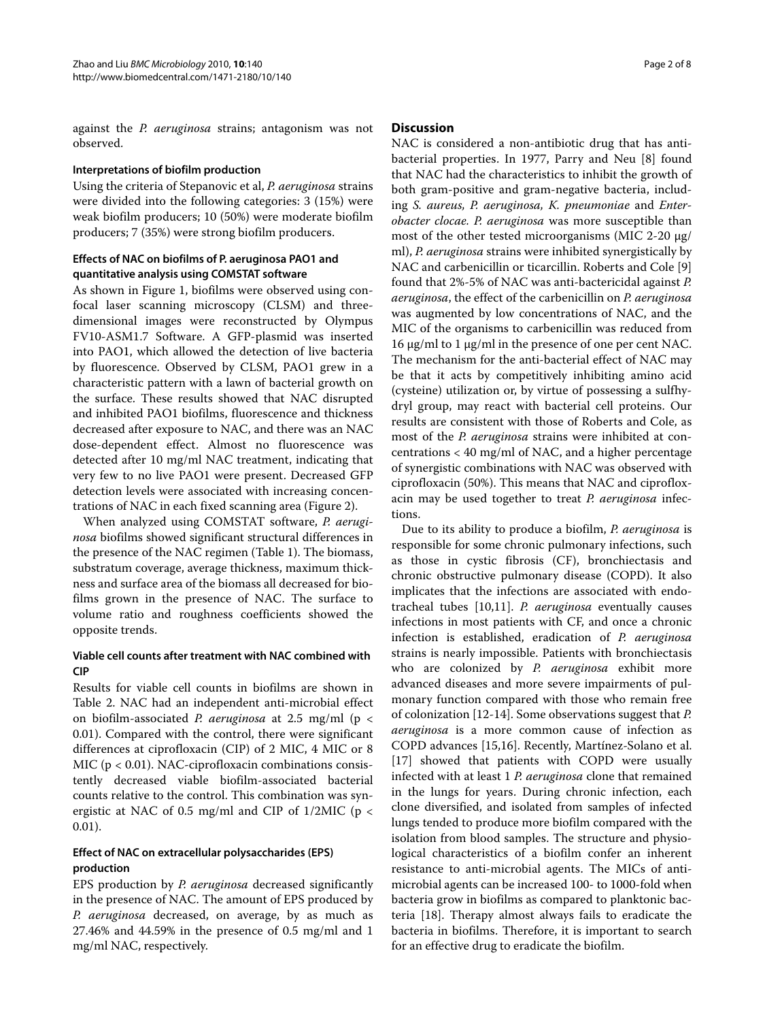against the *P. aeruginosa* strains; antagonism was not observed.

## **Interpretations of biofilm production**

Using the criteria of Stepanovic et al, *P. aeruginosa* strains were divided into the following categories: 3 (15%) were weak biofilm producers; 10 (50%) were moderate biofilm producers; 7 (35%) were strong biofilm producers.

## **Effects of NAC on biofilms of P. aeruginosa PAO1 and quantitative analysis using COMSTAT software**

As shown in Figure [1](#page-2-0), biofilms were observed using confocal laser scanning microscopy (CLSM) and threedimensional images were reconstructed by Olympus FV10-ASM1.7 Software. A GFP-plasmid was inserted into PAO1, which allowed the detection of live bacteria by fluorescence. Observed by CLSM, PAO1 grew in a characteristic pattern with a lawn of bacterial growth on the surface. These results showed that NAC disrupted and inhibited PAO1 biofilms, fluorescence and thickness decreased after exposure to NAC, and there was an NAC dose-dependent effect. Almost no fluorescence was detected after 10 mg/ml NAC treatment, indicating that very few to no live PAO1 were present. Decreased GFP detection levels were associated with increasing concentrations of NAC in each fixed scanning area (Figure [2](#page-3-0)).

When analyzed using COMSTAT software, *P. aeruginosa* biofilms showed significant structural differences in the presence of the NAC regimen (Table 1). The biomass, substratum coverage, average thickness, maximum thickness and surface area of the biomass all decreased for biofilms grown in the presence of NAC. The surface to volume ratio and roughness coefficients showed the opposite trends.

## **Viable cell counts after treatment with NAC combined with CIP**

Results for viable cell counts in biofilms are shown in Table 2. NAC had an independent anti-microbial effect on biofilm-associated *P. aeruginosa* at 2.5 mg/ml (p < 0.01). Compared with the control, there were significant differences at ciprofloxacin (CIP) of 2 MIC, 4 MIC or 8 MIC ( $p < 0.01$ ). NAC-ciprofloxacin combinations consistently decreased viable biofilm-associated bacterial counts relative to the control. This combination was synergistic at NAC of 0.5 mg/ml and CIP of 1/2MIC (p < 0.01).

## **Effect of NAC on extracellular polysaccharides (EPS) production**

EPS production by *P. aeruginosa* decreased significantly in the presence of NAC. The amount of EPS produced by *P. aeruginosa* decreased, on average, by as much as 27.46% and 44.59% in the presence of 0.5 mg/ml and 1 mg/ml NAC, respectively.

## **Discussion**

NAC is considered a non-antibiotic drug that has antibacterial properties. In 1977, Parry and Neu [\[8](#page-6-6)] found that NAC had the characteristics to inhibit the growth of both gram-positive and gram-negative bacteria, including *S. aureus, P. aeruginosa, K. pneumoniae* and *Enterobacter clocae. P. aeruginosa* was more susceptible than most of the other tested microorganisms (MIC 2-20 μg/ ml), *P. aeruginosa* strains were inhibited synergistically by NAC and carbenicillin or ticarcillin. Roberts and Cole [\[9](#page-6-7)] found that 2%-5% of NAC was anti-bactericidal against *P. aeruginosa*, the effect of the carbenicillin on *P. aeruginosa* was augmented by low concentrations of NAC, and the MIC of the organisms to carbenicillin was reduced from 16 μg/ml to 1 μg/ml in the presence of one per cent NAC. The mechanism for the anti-bacterial effect of NAC may be that it acts by competitively inhibiting amino acid (cysteine) utilization or, by virtue of possessing a sulfhydryl group, may react with bacterial cell proteins. Our results are consistent with those of Roberts and Cole, as most of the *P. aeruginosa* strains were inhibited at concentrations < 40 mg/ml of NAC, and a higher percentage of synergistic combinations with NAC was observed with ciprofloxacin (50%). This means that NAC and ciprofloxacin may be used together to treat *P. aeruginosa* infections.

Due to its ability to produce a biofilm, *P. aeruginosa* is responsible for some chronic pulmonary infections, such as those in cystic fibrosis (CF), bronchiectasis and chronic obstructive pulmonary disease (COPD). It also implicates that the infections are associated with endotracheal tubes [[10](#page-6-8),[11](#page-6-9)]. *P. aeruginosa* eventually causes infections in most patients with CF, and once a chronic infection is established, eradication of *P. aeruginosa* strains is nearly impossible. Patients with bronchiectasis who are colonized by *P. aeruginosa* exhibit more advanced diseases and more severe impairments of pulmonary function compared with those who remain free of colonization [\[12-](#page-6-10)[14](#page-6-11)]. Some observations suggest that *P. aeruginosa* is a more common cause of infection as COPD advances [[15](#page-6-12),[16\]](#page-6-13). Recently, Martínez-Solano et al. [[17\]](#page-6-14) showed that patients with COPD were usually infected with at least 1 *P. aeruginosa* clone that remained in the lungs for years. During chronic infection, each clone diversified, and isolated from samples of infected lungs tended to produce more biofilm compared with the isolation from blood samples. The structure and physiological characteristics of a biofilm confer an inherent resistance to anti-microbial agents. The MICs of antimicrobial agents can be increased 100- to 1000-fold when bacteria grow in biofilms as compared to planktonic bacteria [[18\]](#page-7-0). Therapy almost always fails to eradicate the bacteria in biofilms. Therefore, it is important to search for an effective drug to eradicate the biofilm.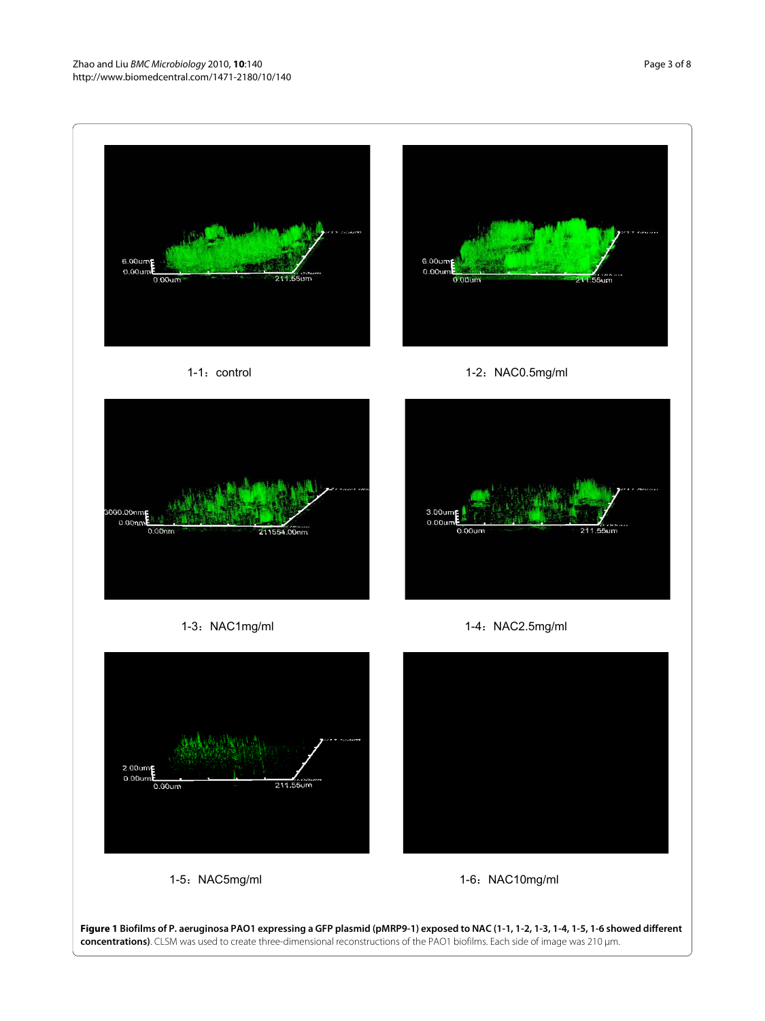<span id="page-2-0"></span>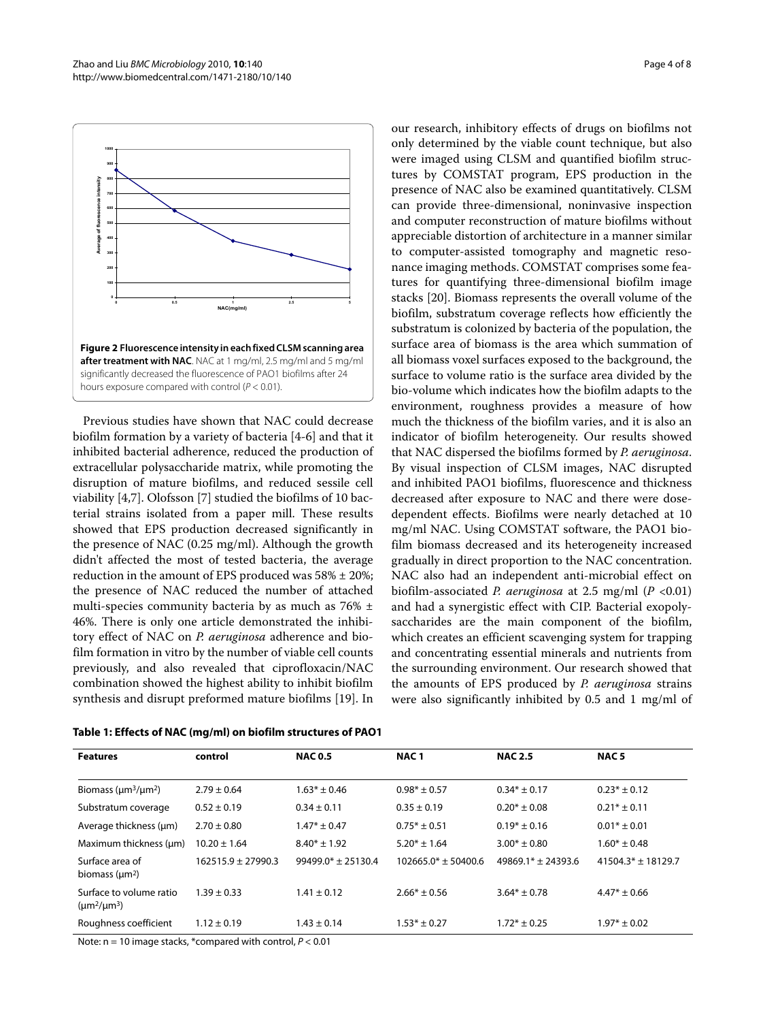<span id="page-3-0"></span>

Previous studies have shown that NAC could decrease biofilm formation by a variety of bacteria [[4](#page-6-3)-[6\]](#page-6-4) and that it inhibited bacterial adherence, reduced the production of extracellular polysaccharide matrix, while promoting the disruption of mature biofilms, and reduced sessile cell viability [[4,](#page-6-3)[7\]](#page-6-5). Olofsson [[7\]](#page-6-5) studied the biofilms of 10 bacterial strains isolated from a paper mill. These results showed that EPS production decreased significantly in the presence of NAC (0.25 mg/ml). Although the growth didn't affected the most of tested bacteria, the average reduction in the amount of EPS produced was 58% ± 20%; the presence of NAC reduced the number of attached multi-species community bacteria by as much as 76% ± 46%. There is only one article demonstrated the inhibitory effect of NAC on *P. aeruginosa* adherence and biofilm formation in vitro by the number of viable cell counts previously, and also revealed that ciprofloxacin/NAC combination showed the highest ability to inhibit biofilm synthesis and disrupt preformed mature biofilms [[19\]](#page-7-1). In

| Table 1: Effects of NAC (mg/ml) on biofilm structures of PAO1 |  |  |  |  |
|---------------------------------------------------------------|--|--|--|--|
|---------------------------------------------------------------|--|--|--|--|

Page 4 of 8

our research, inhibitory effects of drugs on biofilms not only determined by the viable count technique, but also were imaged using CLSM and quantified biofilm structures by COMSTAT program, EPS production in the presence of NAC also be examined quantitatively. CLSM can provide three-dimensional, noninvasive inspection and computer reconstruction of mature biofilms without appreciable distortion of architecture in a manner similar to computer-assisted tomography and magnetic resonance imaging methods. COMSTAT comprises some features for quantifying three-dimensional biofilm image stacks [[20](#page-7-2)]. Biomass represents the overall volume of the biofilm, substratum coverage reflects how efficiently the substratum is colonized by bacteria of the population, the surface area of biomass is the area which summation of all biomass voxel surfaces exposed to the background, the surface to volume ratio is the surface area divided by the bio-volume which indicates how the biofilm adapts to the environment, roughness provides a measure of how much the thickness of the biofilm varies, and it is also an indicator of biofilm heterogeneity. Our results showed that NAC dispersed the biofilms formed by *P. aeruginosa*. By visual inspection of CLSM images, NAC disrupted and inhibited PAO1 biofilms, fluorescence and thickness decreased after exposure to NAC and there were dosedependent effects. Biofilms were nearly detached at 10 mg/ml NAC. Using COMSTAT software, the PAO1 biofilm biomass decreased and its heterogeneity increased gradually in direct proportion to the NAC concentration. NAC also had an independent anti-microbial effect on biofilm-associated *P. aeruginosa* at 2.5 mg/ml (*P* <0.01) and had a synergistic effect with CIP. Bacterial exopolysaccharides are the main component of the biofilm, which creates an efficient scavenging system for trapping and concentrating essential minerals and nutrients from the surrounding environment. Our research showed that the amounts of EPS produced by *P. aeruginosa* strains were also significantly inhibited by 0.5 and 1 mg/ml of

| <b>Features</b>                                                                                           | control                | <b>NAC 0.5</b>       | NAC <sub>1</sub>      | <b>NAC 2.5</b>       | NAC <sub>5</sub>     |
|-----------------------------------------------------------------------------------------------------------|------------------------|----------------------|-----------------------|----------------------|----------------------|
| Biomass ( $\mu$ m <sup>3</sup> / $\mu$ m <sup>2</sup> )                                                   | $2.79 \pm 0.64$        | $1.63* \pm 0.46$     | $0.98* + 0.57$        | $0.34* + 0.17$       | $0.23* \pm 0.12$     |
| Substratum coverage                                                                                       | $0.52 \pm 0.19$        | $0.34 \pm 0.11$      | $0.35 \pm 0.19$       | $0.20* \pm 0.08$     | $0.21* + 0.11$       |
| Average thickness (um)                                                                                    | $2.70 \pm 0.80$        | $1.47* + 0.47$       | $0.75* + 0.51$        | $0.19* \pm 0.16$     | $0.01*$ ± 0.01       |
| Maximum thickness (um)                                                                                    | $10.20 \pm 1.64$       | $8.40* + 1.92$       | $5.20* + 1.64$        | $3.00* \pm 0.80$     | $1.60* \pm 0.48$     |
| Surface area of<br>biomass $(\mu m^2)$                                                                    | $162515.9 \pm 27990.3$ | $99499.0* + 25130.4$ | $102665.0* + 50400.6$ | $49869.1* + 24393.6$ | $41504.3* + 18129.7$ |
| Surface to volume ratio<br>$(\mu m^2/\mu m^3)$                                                            | $1.39 \pm 0.33$        | $1.41 \pm 0.12$      | $2.66* \pm 0.56$      | $3.64* \pm 0.78$     | $4.47* \pm 0.66$     |
| Roughness coefficient                                                                                     | $1.12 \pm 0.19$        | $1.43 \pm 0.14$      | $1.53* \pm 0.27$      | $1.72* \pm 0.25$     | $1.97* \pm 0.02$     |
| $M_{\rm{max}}$ and $M_{\rm{max}}$ are the standard second of the second $M_{\rm{max}}$ and $M_{\rm{max}}$ |                        |                      |                       |                      |                      |

Note:  $n = 10$  image stacks, \*compared with control,  $P < 0.01$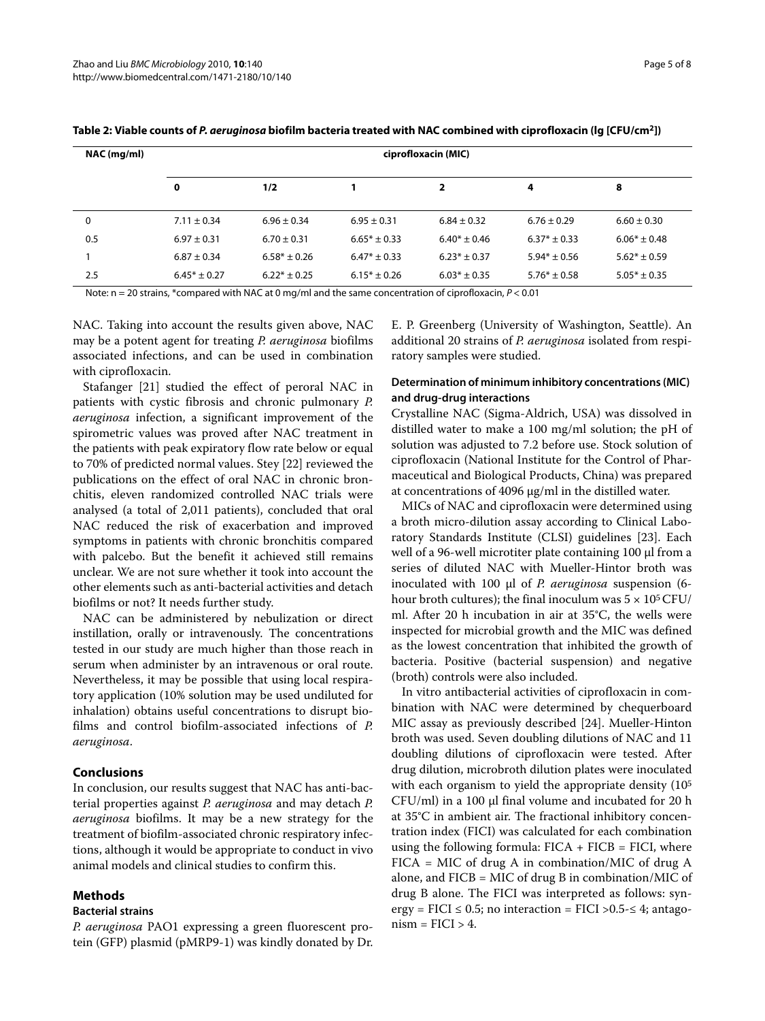| NAC (mg/ml) | ciprofloxacin (MIC) |                  |                  |                  |                  |                  |
|-------------|---------------------|------------------|------------------|------------------|------------------|------------------|
|             | 0                   | 1/2              |                  | 2                | 4                | 8                |
| 0           | $7.11 \pm 0.34$     | $6.96 \pm 0.34$  | $6.95 \pm 0.31$  | $6.84 \pm 0.32$  | $6.76 \pm 0.29$  | $6.60 \pm 0.30$  |
| 0.5         | $6.97 \pm 0.31$     | $6.70 \pm 0.31$  | $6.65* \pm 0.33$ | $6.40* \pm 0.46$ | $6.37* \pm 0.33$ | $6.06* \pm 0.48$ |
|             | $6.87 \pm 0.34$     | $6.58* \pm 0.26$ | $6.47* \pm 0.33$ | $6.23* + 0.37$   | $5.94* \pm 0.56$ | $5.62* \pm 0.59$ |
| 2.5         | $6.45* \pm 0.27$    | $6.22* \pm 0.25$ | $6.15* \pm 0.26$ | $6.03* \pm 0.35$ | $5.76* \pm 0.58$ | $5.05* \pm 0.35$ |

**Table 2: Viable counts of P. aeruginosa biofilm bacteria treated with NAC combined with ciprofloxacin (lg [CFU/cm2])**

Note:  $n = 20$  strains, \*compared with NAC at 0 mg/ml and the same concentration of ciprofloxacin,  $P < 0.01$ 

NAC. Taking into account the results given above, NAC may be a potent agent for treating *P. aeruginosa* biofilms associated infections, and can be used in combination with ciprofloxacin.

Stafanger [\[21](#page-7-3)] studied the effect of peroral NAC in patients with cystic fibrosis and chronic pulmonary *P. aeruginosa* infection, a significant improvement of the spirometric values was proved after NAC treatment in the patients with peak expiratory flow rate below or equal to 70% of predicted normal values. Stey [[22\]](#page-7-4) reviewed the publications on the effect of oral NAC in chronic bronchitis, eleven randomized controlled NAC trials were analysed (a total of 2,011 patients), concluded that oral NAC reduced the risk of exacerbation and improved symptoms in patients with chronic bronchitis compared with palcebo. But the benefit it achieved still remains unclear. We are not sure whether it took into account the other elements such as anti-bacterial activities and detach biofilms or not? It needs further study.

NAC can be administered by nebulization or direct instillation, orally or intravenously. The concentrations tested in our study are much higher than those reach in serum when administer by an intravenous or oral route. Nevertheless, it may be possible that using local respiratory application (10% solution may be used undiluted for inhalation) obtains useful concentrations to disrupt biofilms and control biofilm-associated infections of *P. aeruginosa*.

## **Conclusions**

In conclusion, our results suggest that NAC has anti-bacterial properties against *P. aeruginosa* and may detach *P. aeruginosa* biofilms. It may be a new strategy for the treatment of biofilm-associated chronic respiratory infections, although it would be appropriate to conduct in vivo animal models and clinical studies to confirm this.

## **Methods**

## **Bacterial strains**

*P. aeruginosa* PAO1 expressing a green fluorescent protein (GFP) plasmid (pMRP9-1) was kindly donated by Dr. E. P. Greenberg (University of Washington, Seattle). An additional 20 strains of *P. aeruginosa* isolated from respiratory samples were studied.

## **Determination of minimum inhibitory concentrations (MIC) and drug-drug interactions**

Crystalline NAC (Sigma-Aldrich, USA) was dissolved in distilled water to make a 100 mg/ml solution; the pH of solution was adjusted to 7.2 before use. Stock solution of ciprofloxacin (National Institute for the Control of Pharmaceutical and Biological Products, China) was prepared at concentrations of 4096 μg/ml in the distilled water.

MICs of NAC and ciprofloxacin were determined using a broth micro-dilution assay according to Clinical Laboratory Standards Institute (CLSI) guidelines [\[23\]](#page-7-5). Each well of a 96-well microtiter plate containing 100 μl from a series of diluted NAC with Mueller-Hintor broth was inoculated with 100 μl of *P. aeruginosa* suspension (6 hour broth cultures); the final inoculum was  $5 \times 10^5$  CFU/ ml. After 20 h incubation in air at 35°C, the wells were inspected for microbial growth and the MIC was defined as the lowest concentration that inhibited the growth of bacteria. Positive (bacterial suspension) and negative (broth) controls were also included.

In vitro antibacterial activities of ciprofloxacin in combination with NAC were determined by chequerboard MIC assay as previously described [\[24](#page-7-6)]. Mueller-Hinton broth was used. Seven doubling dilutions of NAC and 11 doubling dilutions of ciprofloxacin were tested. After drug dilution, microbroth dilution plates were inoculated with each organism to yield the appropriate density (10<sup>5</sup>) CFU/ml) in a 100 μl final volume and incubated for 20 h at 35°C in ambient air. The fractional inhibitory concentration index (FICI) was calculated for each combination using the following formula:  $FICA + FICB = FICI$ , where FICA = MIC of drug A in combination/MIC of drug A alone, and FICB = MIC of drug B in combination/MIC of drug B alone. The FICI was interpreted as follows: synergy = FICI  $\leq$  0.5; no interaction = FICI  $>$  0.5 $\leq$  4; antago $nism = FICI > 4.$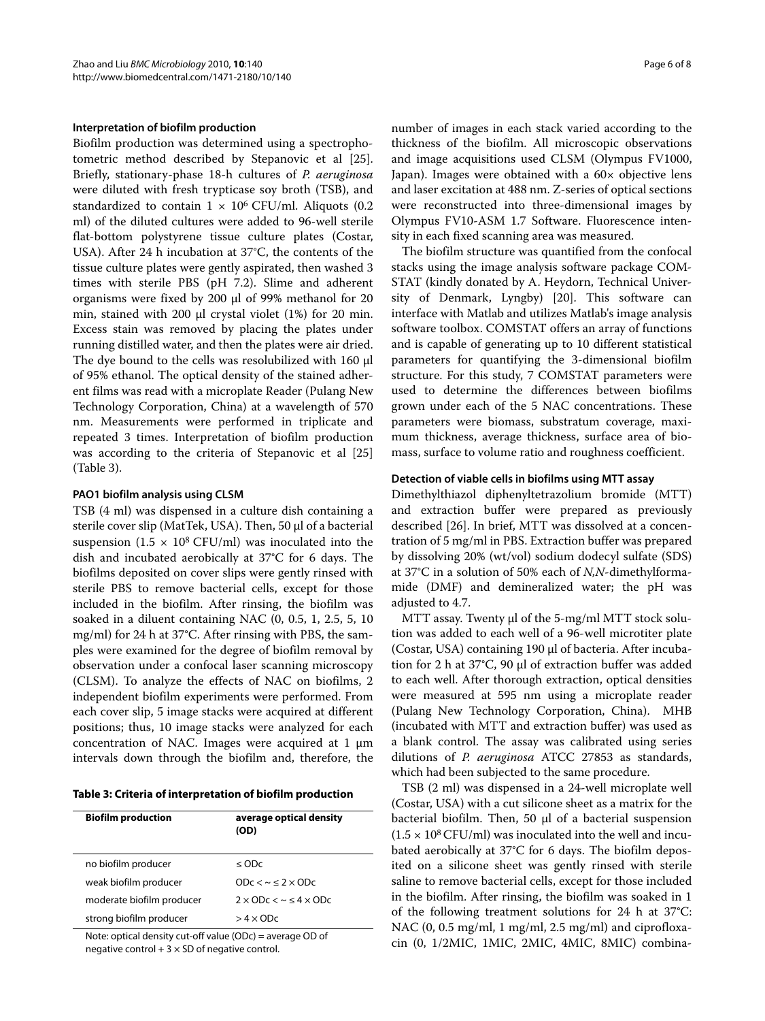### **Interpretation of biofilm production**

Biofilm production was determined using a spectrophotometric method described by Stepanovic et al [\[25](#page-7-7)]. Briefly, stationary-phase 18-h cultures of *P. aeruginosa* were diluted with fresh trypticase soy broth (TSB), and standardized to contain  $1 \times 10^6$  CFU/ml. Aliquots (0.2) ml) of the diluted cultures were added to 96-well sterile flat-bottom polystyrene tissue culture plates (Costar, USA). After 24 h incubation at 37°C, the contents of the tissue culture plates were gently aspirated, then washed 3 times with sterile PBS (pH 7.2). Slime and adherent organisms were fixed by 200 μl of 99% methanol for 20 min, stained with 200 μl crystal violet (1%) for 20 min. Excess stain was removed by placing the plates under running distilled water, and then the plates were air dried. The dye bound to the cells was resolubilized with 160 μl of 95% ethanol. The optical density of the stained adherent films was read with a microplate Reader (Pulang New Technology Corporation, China) at a wavelength of 570 nm. Measurements were performed in triplicate and repeated 3 times. Interpretation of biofilm production was according to the criteria of Stepanovic et al [[25](#page-7-7)] (Table 3).

### **PAO1 biofilm analysis using CLSM**

TSB (4 ml) was dispensed in a culture dish containing a sterile cover slip (MatTek, USA). Then, 50 μl of a bacterial suspension (1.5  $\times$  10<sup>8</sup> CFU/ml) was inoculated into the dish and incubated aerobically at 37°C for 6 days. The biofilms deposited on cover slips were gently rinsed with sterile PBS to remove bacterial cells, except for those included in the biofilm. After rinsing, the biofilm was soaked in a diluent containing NAC (0, 0.5, 1, 2.5, 5, 10 mg/ml) for 24 h at 37°C. After rinsing with PBS, the samples were examined for the degree of biofilm removal by observation under a confocal laser scanning microscopy (CLSM). To analyze the effects of NAC on biofilms, 2 independent biofilm experiments were performed. From each cover slip, 5 image stacks were acquired at different positions; thus, 10 image stacks were analyzed for each concentration of NAC. Images were acquired at 1 μm intervals down through the biofilm and, therefore, the

**Table 3: Criteria of interpretation of biofilm production**

| <b>Biofilm production</b> | average optical density<br>(OD)              |
|---------------------------|----------------------------------------------|
| no biofilm producer       | $<$ ODc                                      |
| weak biofilm producer     | $ODc < \sim < 2 \times ODc$                  |
| moderate biofilm producer | $2 \times$ ODc $\lt \sim$ $\lt 4 \times$ ODc |
| strong biofilm producer   | $> 4 \times$ ODc                             |

Note: optical density cut-off value (ODc) = average OD of negative control  $+3 \times$  SD of negative control.

number of images in each stack varied according to the thickness of the biofilm. All microscopic observations and image acquisitions used CLSM (Olympus FV1000, Japan). Images were obtained with a 60× objective lens and laser excitation at 488 nm. Z-series of optical sections were reconstructed into three-dimensional images by Olympus FV10-ASM 1.7 Software. Fluorescence intensity in each fixed scanning area was measured.

The biofilm structure was quantified from the confocal stacks using the image analysis software package COM-STAT (kindly donated by A. Heydorn, Technical University of Denmark, Lyngby) [[20](#page-7-2)]. This software can interface with Matlab and utilizes Matlab's image analysis software toolbox. COMSTAT offers an array of functions and is capable of generating up to 10 different statistical parameters for quantifying the 3-dimensional biofilm structure. For this study, 7 COMSTAT parameters were used to determine the differences between biofilms grown under each of the 5 NAC concentrations. These parameters were biomass, substratum coverage, maximum thickness, average thickness, surface area of biomass, surface to volume ratio and roughness coefficient.

#### **Detection of viable cells in biofilms using MTT assay**

Dimethylthiazol diphenyltetrazolium bromide (MTT) and extraction buffer were prepared as previously described [\[26](#page-7-8)]. In brief, MTT was dissolved at a concentration of 5 mg/ml in PBS. Extraction buffer was prepared by dissolving 20% (wt/vol) sodium dodecyl sulfate (SDS) at 37°C in a solution of 50% each of *N,N*-dimethylformamide (DMF) and demineralized water; the pH was adjusted to 4.7.

MTT assay. Twenty μl of the 5-mg/ml MTT stock solution was added to each well of a 96-well microtiter plate (Costar, USA) containing 190 μl of bacteria. After incubation for 2 h at 37°C, 90 μl of extraction buffer was added to each well. After thorough extraction, optical densities were measured at 595 nm using a microplate reader (Pulang New Technology Corporation, China). MHB (incubated with MTT and extraction buffer) was used as a blank control. The assay was calibrated using series dilutions of *P. aeruginosa* ATCC 27853 as standards, which had been subjected to the same procedure.

TSB (2 ml) was dispensed in a 24-well microplate well (Costar, USA) with a cut silicone sheet as a matrix for the bacterial biofilm. Then, 50 μl of a bacterial suspension  $(1.5 \times 10^8 \,\mathrm{CFU/ml})$  was inoculated into the well and incubated aerobically at 37°C for 6 days. The biofilm deposited on a silicone sheet was gently rinsed with sterile saline to remove bacterial cells, except for those included in the biofilm. After rinsing, the biofilm was soaked in 1 of the following treatment solutions for 24 h at 37°C: NAC (0, 0.5 mg/ml, 1 mg/ml, 2.5 mg/ml) and ciprofloxacin (0, 1/2MIC, 1MIC, 2MIC, 4MIC, 8MIC) combina-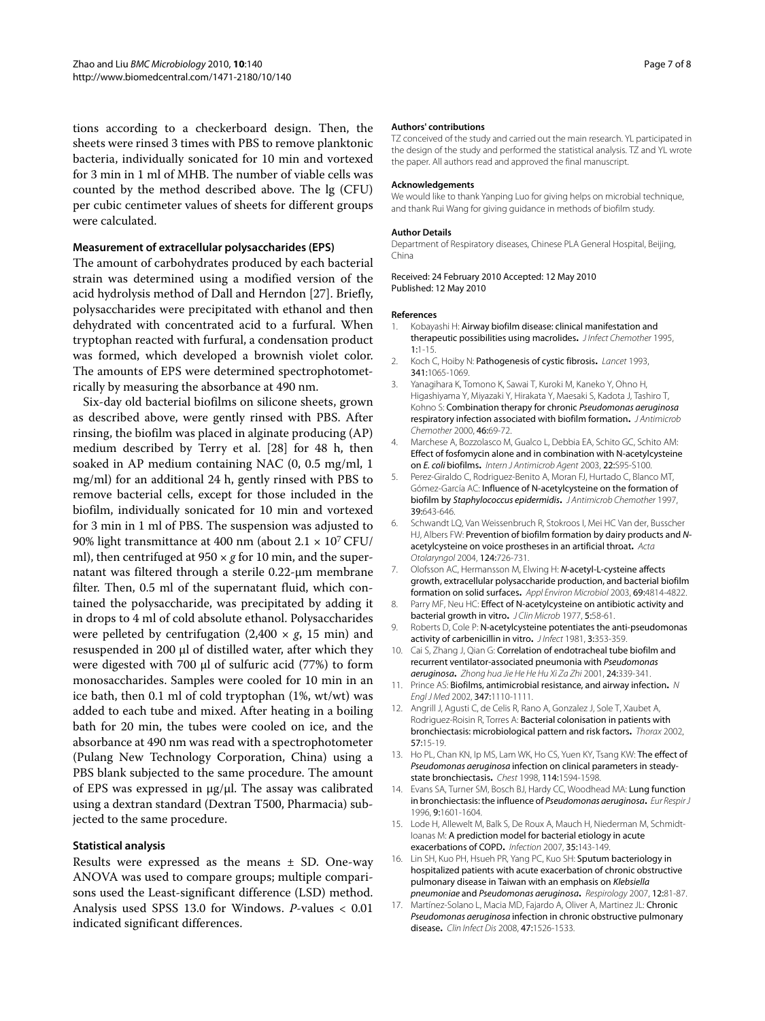tions according to a checkerboard design. Then, the sheets were rinsed 3 times with PBS to remove planktonic bacteria, individually sonicated for 10 min and vortexed for 3 min in 1 ml of MHB. The number of viable cells was counted by the method described above. The lg (CFU) per cubic centimeter values of sheets for different groups were calculated.

### **Measurement of extracellular polysaccharides (EPS)**

The amount of carbohydrates produced by each bacterial strain was determined using a modified version of the acid hydrolysis method of Dall and Herndon [[27\]](#page-7-9). Briefly, polysaccharides were precipitated with ethanol and then dehydrated with concentrated acid to a furfural. When tryptophan reacted with furfural, a condensation product was formed, which developed a brownish violet color. The amounts of EPS were determined spectrophotometrically by measuring the absorbance at 490 nm.

Six-day old bacterial biofilms on silicone sheets, grown as described above, were gently rinsed with PBS. After rinsing, the biofilm was placed in alginate producing (AP) medium described by Terry et al. [[28\]](#page-7-10) for 48 h, then soaked in AP medium containing NAC (0, 0.5 mg/ml, 1 mg/ml) for an additional 24 h, gently rinsed with PBS to remove bacterial cells, except for those included in the biofilm, individually sonicated for 10 min and vortexed for 3 min in 1 ml of PBS. The suspension was adjusted to 90% light transmittance at 400 nm (about  $2.1 \times 10^7$  CFU/ ml), then centrifuged at 950  $\times$  *g* for 10 min, and the supernatant was filtered through a sterile 0.22-μm membrane filter. Then, 0.5 ml of the supernatant fluid, which contained the polysaccharide, was precipitated by adding it in drops to 4 ml of cold absolute ethanol. Polysaccharides were pelleted by centrifugation  $(2,400 \times g, 15 \text{ min})$  and resuspended in 200 μl of distilled water, after which they were digested with 700 μl of sulfuric acid (77%) to form monosaccharides. Samples were cooled for 10 min in an ice bath, then 0.1 ml of cold tryptophan (1%, wt/wt) was added to each tube and mixed. After heating in a boiling bath for 20 min, the tubes were cooled on ice, and the absorbance at 490 nm was read with a spectrophotometer (Pulang New Technology Corporation, China) using a PBS blank subjected to the same procedure. The amount of EPS was expressed in μg/μl. The assay was calibrated using a dextran standard (Dextran T500, Pharmacia) subjected to the same procedure.

## **Statistical analysis**

Results were expressed as the means ± SD. One-way ANOVA was used to compare groups; multiple comparisons used the Least-significant difference (LSD) method. Analysis used SPSS 13.0 for Windows. *P*-values < 0.01 indicated significant differences.

#### **Authors' contributions**

TZ conceived of the study and carried out the main research. YL participated in the design of the study and performed the statistical analysis. TZ and YL wrote the paper. All authors read and approved the final manuscript.

#### **Acknowledgements**

We would like to thank Yanping Luo for giving helps on microbial technique, and thank Rui Wang for giving guidance in methods of biofilm study.

#### **Author Details**

Department of Respiratory diseases, Chinese PLA General Hospital, Beijing, China

Received: 24 February 2010 Accepted: 12 May 2010 Published: 12 May 2010

#### **References**

- <span id="page-6-0"></span>1. Kobayashi H: Airway biofilm disease: clinical manifestation and therapeutic possibilities using macrolides**.** J Infect Chemother 1995, 1:1-15.
- <span id="page-6-1"></span>2. Koch C, Hoiby N: Pathogenesis of cystic fibrosis**[.](http://www.ncbi.nlm.nih.gov/entrez/query.fcgi?cmd=Retrieve&db=PubMed&dopt=Abstract&list_uids=7682274)** Lancet 1993, 341:1065-1069.
- <span id="page-6-2"></span>3. Yanagihara K, Tomono K, Sawai T, Kuroki M, Kaneko Y, Ohno H, Higashiyama Y, Miyazaki Y, Hirakata Y, Maesaki S, Kadota J, Tashiro T, Kohno S: Combination therapy for chronic Pseudomonas aeruginosa respiratory infection associated with biofilm formation**.** J Antimicrob Chemother 2000, 46:69-72.
- <span id="page-6-3"></span>4. Marchese A, Bozzolasco M, Gualco L, Debbia EA, Schito GC, Schito AM: Effect of fosfomycin alone and in combination with N-acetylcysteine on E. coli biofilms**.** Intern J Antimicrob Agent 2003, 22:S95-S100.
- 5. Perez-Giraldo C, Rodriguez-Benito A, Moran FJ, Hurtado C, Blanco MT, Gómez-García AC: Influence of N-acetylcysteine on the formation of biofilm by Staphylococcus epidermidis**.** J Antimicrob Chemother 1997, 39:643-646.
- <span id="page-6-4"></span>6. Schwandt LQ, Van Weissenbruch R, Stokroos I, Mei HC Van der, Busscher HJ, Albers FW: Prevention of biofilm formation by dairy products and Nacetylcysteine on voice prostheses in an artificial throat**[.](http://www.ncbi.nlm.nih.gov/entrez/query.fcgi?cmd=Retrieve&db=PubMed&dopt=Abstract&list_uids=15515498)** Acta Otolaryngol 2004, 124:726-731.
- <span id="page-6-5"></span>7. Olofsson AC, Hermansson M, Elwing H: N-acetyl-L-cysteine affects growth, extracellular polysaccharide production, and bacterial biofilm formation on solid surfaces**.** Appl Environ Microbiol 2003, 69:4814-4822.
- <span id="page-6-6"></span>Parry MF, Neu HC: Effect of N-acetylcysteine on antibiotic activity and bacterial growth in vitro**.** J Clin Microb 1977, 5:58-61.
- <span id="page-6-7"></span>9. Roberts D, Cole P: N-acetylcysteine potentiates the anti-pseudomonas activity of carbenicillin in vitro**.** J Infect 1981, 3:353-359.
- <span id="page-6-8"></span>10. Cai S, Zhang J, Qian G: Correlation of endotracheal tube biofilm and recurrent ventilator-associated pneumonia with Pseudomonas aeruginosa**.** Zhong hua Jie He He Hu Xi Za Zhi 2001, 24:339-341.
- <span id="page-6-9"></span>11. Prince AS: Biofilms, antimicrobial resistance, and airway infection**.** N Engl J Med 2002, 347:1110-1111.
- <span id="page-6-10"></span>12. Angrill J, Agusti C, de Celis R, Rano A, Gonzalez J, Sole T, Xaubet A, Rodriguez-Roisin R, Torres A: Bacterial colonisation in patients with bronchiectasis: microbiological pattern and risk factors**.** Thorax 2002, 57:15-19.
- 13. Ho PL, Chan KN, Ip MS, Lam WK, Ho CS, Yuen KY, Tsang KW: The effect of Pseudomonas aeruginosa infection on clinical parameters in steadystate bronchiectasis**.** Chest 1998, 114:1594-1598.
- <span id="page-6-11"></span>14. Evans SA, Turner SM, Bosch BJ, Hardy CC, Woodhead MA: Lung function in bronchiectasis: the influence of Pseudomonas aeruginosa**.** Eur Respir J 1996, 9:1601-1604.
- <span id="page-6-12"></span>15. Lode H, Allewelt M, Balk S, De Roux A, Mauch H, Niederman M, Schmidt-Ioanas M: A prediction model for bacterial etiology in acute exacerbations of COPD**.** Infection 2007, 35:143-149.
- <span id="page-6-13"></span>16. Lin SH, Kuo PH, Hsueh PR, Yang PC, Kuo SH: Sputum bacteriology in hospitalized patients with acute exacerbation of chronic obstructive pulmonary disease in Taiwan with an emphasis on Klebsiella pneumoniae and Pseudomonas aeruginos[a](http://www.ncbi.nlm.nih.gov/entrez/query.fcgi?cmd=Retrieve&db=PubMed&dopt=Abstract&list_uids=17207030)**.** Respirology 2007, 12:81-87.
- <span id="page-6-14"></span>17. Martínez-Solano L, Macia MD, Fajardo A, Oliver A, Martinez JL: Chronic Pseudomonas aeruginosa infection in chronic obstructive pulmonary disease**.** Clin Infect Dis 2008, 47:1526-1533.